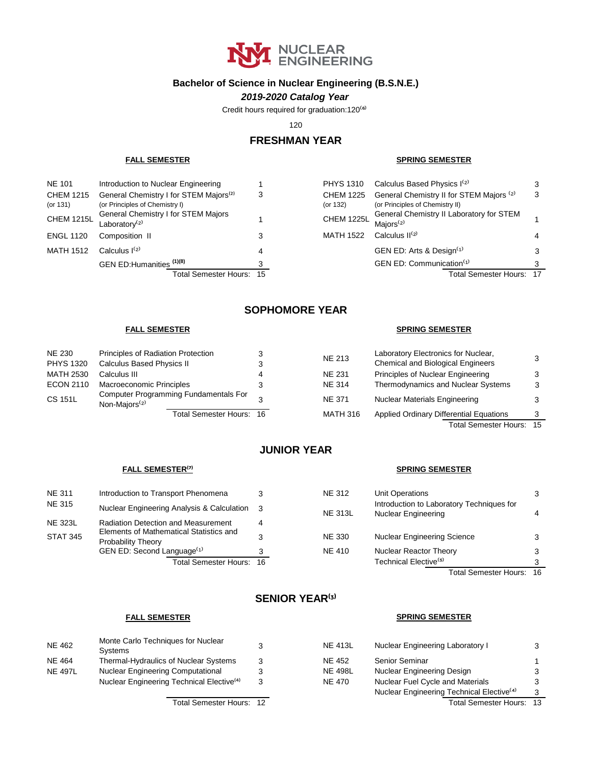

# **Bachelor of Science in Nuclear Engineering (B.S.N.E.)**

# *2019-2020 Catalog Year*

Credit hours required for graduation: 120<sup>(6)</sup>

120

# **FRESHMAN YEAR**

# **FALL SEMESTER SPRING SEMESTER**

| <b>NE 101</b>                   | Introduction to Nuclear Engineering                                                  |   | <b>PHYS 1310</b>             | Calculus Based Physics I <sup>(2)</sup>                                                |                                          | 3 |
|---------------------------------|--------------------------------------------------------------------------------------|---|------------------------------|----------------------------------------------------------------------------------------|------------------------------------------|---|
| <b>CHEM 1215</b><br>(or $131$ ) | General Chemistry I for STEM Majors <sup>(2)</sup><br>(or Principles of Chemistry I) | 3 | <b>CHEM 1225</b><br>(or 132) | General Chemistry II for STEM Majors <sup>(2)</sup><br>(or Principles of Chemistry II) |                                          | 3 |
| <b>CHEM 1215L</b>               | General Chemistry I for STEM Majors<br>Laboratory <sup>(2)</sup>                     |   | <b>CHEM 1225L</b>            | Maiors <sup>(2)</sup>                                                                  | General Chemistry II Laboratory for STEM |   |
| <b>ENGL 1120</b>                | Composition II                                                                       | 3 | <b>MATH 1522</b>             | Calculus II <sup>(2)</sup>                                                             |                                          | 4 |
| <b>MATH 1512</b>                | Calculus I <sup>(2)</sup>                                                            | 4 |                              | GEN ED: Arts & Design <sup>(1)</sup>                                                   |                                          | 3 |
|                                 | GEN ED: Humanities (1)(8)                                                            |   |                              | GEN ED: Communication <sup>(1)</sup>                                                   |                                          | 3 |
|                                 | Total Semester Hours: 15                                                             |   |                              |                                                                                        | Total Semester Hours: 17                 |   |

# **SOPHOMORE YEAR**

| <b>NE 230</b>    | Principles of Radiation Protection                                 | <b>NE 213</b> | Laboratory Electronics for Nuclear,      |
|------------------|--------------------------------------------------------------------|---------------|------------------------------------------|
| <b>PHYS 1320</b> | Calculus Based Physics II                                          |               | <b>Chemical and Biological Engineers</b> |
| MATH 2530        | Calculus III                                                       | <b>NE 231</b> | Principles of Nuclear Engineering        |
| ECON 2110        | Macroeconomic Principles                                           | <b>NE 314</b> | Thermodynamics and Nuclear Syst          |
| <b>CS 151L</b>   | Computer Programming Fundamentals For<br>Non-Maiors <sup>(2)</sup> | <b>NE 371</b> | <b>Nuclear Materials Engineering</b>     |
|                  |                                                                    | MATLIAAC      | $A = \text{diag} \bigcap A$              |

# **FALL SEMESTER SPRING SEMESTER**

| Principles of Radiation Protection<br>Calculus Based Physics II                                |                          |  | <b>NE 213</b>   | Laboratory Electronics for Nuclear,            |   |
|------------------------------------------------------------------------------------------------|--------------------------|--|-----------------|------------------------------------------------|---|
|                                                                                                |                          |  |                 | <b>Chemical and Biological Engineers</b>       | 3 |
| Calculus III                                                                                   |                          |  | <b>NE 231</b>   | Principles of Nuclear Engineering              | 3 |
| Macroeconomic Principles<br>Computer Programming Fundamentals For<br>Non-Maiors <sup>(2)</sup> |                          |  | <b>NE 314</b>   | <b>Thermodynamics and Nuclear Systems</b>      | 3 |
|                                                                                                |                          |  | <b>NE 371</b>   | Nuclear Materials Engineering                  |   |
|                                                                                                | Total Semester Hours: 16 |  | <b>MATH 316</b> | <b>Applied Ordinary Differential Equations</b> | 3 |
|                                                                                                |                          |  |                 | Total Semester Hours: 15                       |   |

**SPRING SEMESTER**

# **JUNIOR YEAR**

## **FALL SEMESTER⁽⁷⁾**

## 3 3 NE 312 Unit Operations 3 4 STAT 345 **Disclusive Matrice Constructed Occupance** 3 NE 330 Nuclear Engineering Science 3 3 3 3 NE 410 Nuclear Reactor Theory Total Semester Hours: 16 3 3 GEN ED: Second Language<sup>(1)</sup> NE 311 Introduction to Transport Phenomena NE 315 Nuclear Engineering Analysis & Calculation Technical Elective<sup>(5)</sup> Introduction to Laboratory Techniques for Nuclear Engineering 4 NE 313L NE 323L Radiation Detection and Measurement Elements of Mathematical Statistics and Probability Theory

Total Semester Hours: 16

# SENIOR YEAR<sup>(3)</sup>

# **FALL SEMESTER**

| <b>NE 462</b>  | Monte Carlo Techniques for Nuclear<br>Svstems         |   | <b>NE 413L</b> | Nuclear Engineering Laboratory I                      | 3 |
|----------------|-------------------------------------------------------|---|----------------|-------------------------------------------------------|---|
| <b>NE 464</b>  | Thermal-Hydraulics of Nuclear Systems                 | 3 | <b>NE 452</b>  | <b>Senior Seminar</b>                                 |   |
| <b>NE 497L</b> | <b>Nuclear Engineering Computational</b>              |   | <b>NE 498L</b> | Nuclear Engineering Design                            | 3 |
|                | Nuclear Engineering Technical Elective <sup>(4)</sup> | 3 | NE 470         | <b>Nuclear Fuel Cycle and Materials</b>               |   |
|                |                                                       |   |                | Nuclear Engineering Technical Elective <sup>(4)</sup> | 3 |

Total Semester Hours: 12 Total Semester Hours: 13

# **SPRING SEMESTER**

| Total Competer Houre 12                 |  |  |
|-----------------------------------------|--|--|
| ering Technical Elective <sup>(4)</sup> |  |  |
| $, 0.0$ and materials                   |  |  |